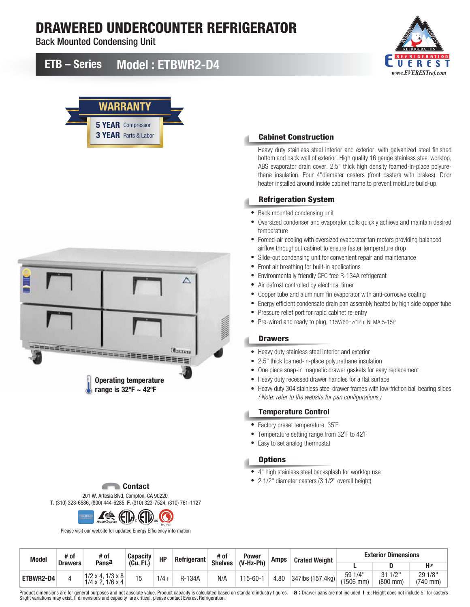## DRAWERED UNDERCOUNTER REFRIGERATOR

Back Mounted Condensing Unit

### ETB – Series Model : ETBWR2-D4







Heavy duty stainless steel interior and exterior, with galvanized steel finished bottom and back wall of exterior. High quality 16 gauge stainless steel worktop, ABS evaporator drain cover. 2.5" thick high density foamed-in-place polyurethane insulation. Four 4"diameter casters (front casters with brakes). Door heater installed around inside cabinet frame to prevent moisture build-up.

### Refrigeration System

- Back mounted condensing unit
- Oversized condenser and evaporator coils quickly achieve and maintain desired temperature
- Forced-air cooling with oversized evaporator fan motors providing balanced airflow throughout cabinet to ensure faster temperature drop
- Slide-out condensing unit for convenient repair and maintenance
- Front air breathing for built-in applications
- Environmentally friendly CFC free R-134A refrigerant
- Air defrost controlled by electrical timer
- Copper tube and aluminum fin evaporator with anti-corrosive coating
- Energy efficient condensate drain pan assembly heated by high side copper tube
- Pressure relief port for rapid cabinet re-entry
- Pre-wired and ready to plug, 115V/60Hz/1Ph, NEMA 5-15P

### **Drawers**

- Heavy duty stainless steel interior and exterior
- 2.5" thick foamed-in-place polyurethane insulation
- One piece snap-in magnetic drawer gaskets for easy replacement
- Heavy duty recessed drawer handles for a flat surface
- Heavy duty 304 stainless steel drawer frames with low-friction ball bearing slides *( Note: refer to the website for pan configurations )*

### Temperature Control

- Factory preset temperature, 35˚F
- Temperature setting range from 32˚F to 42˚F
- Easy to set analog thermostat

### **Options**

- 4" high stainless steel backsplash for worktop use
- 2 1/2" diameter casters (3 1/2" overall height)



| <b>Model</b> | # of           | # of                                             | <b>Capacity</b> | HP     | Refrigerant | # of           | <b>Power</b>   | Amps | <b>Crated Weight</b> |                                  | <b>Exterior Dimensions</b>     |                          |
|--------------|----------------|--------------------------------------------------|-----------------|--------|-------------|----------------|----------------|------|----------------------|----------------------------------|--------------------------------|--------------------------|
|              | <b>Drawers</b> | Pansa                                            | (Cu. Ft.)       |        |             | <b>Shelves</b> | $(V-Hz-Ph)$    |      |                      |                                  |                                | $H*$                     |
| ETBWR2-D4    |                | 1/2 x 4, 1/3 x 8<br>$1/4 \times 2, 1/6 \times 4$ |                 | $1/4+$ | R-134A      | N/A            | $115 - 60 - 1$ | 4.80 | 347lbs (157.4kg)     | 59 1/4"<br>$(1506 \, \text{mm})$ | 311/2"<br>$(800 \, \text{mm})$ | 29 1/8"<br>$(740$ mm $)$ |

Product dimensions are for general purposes and not absolute value. Product capacity is calculated based on standard industry figures. **a:** Drawer pans are not included I \*: Height does not include 5" for casters Slight variations may exist. If dimensions and capacity are critical, please contact Everest Refrigeration.

**E** Contact

Please visit our website for updated Energy Efficiency information

201 W. Artesia Blvd, Compton, CA 90220 T. (310) 323-6586, (800) 444-6285 F. (310) 323-7524, (310) 761-1127

*I* (FI) (F

ISO-9001 **US**